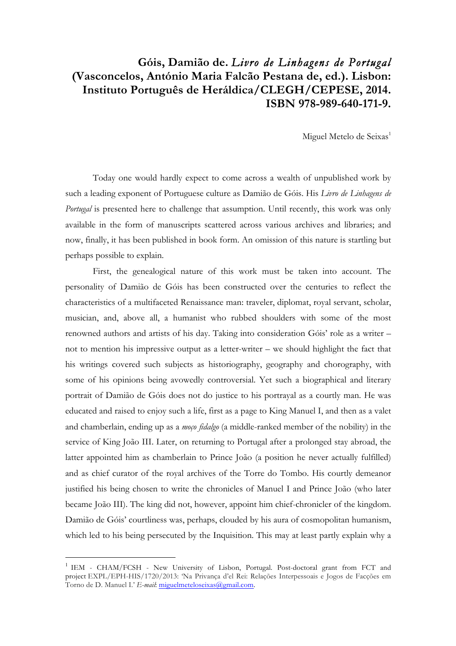## **Góis, Damião de.** *Livro de Linhagens de Portugal*  **(Vasconcelos, António Maria Falcão Pestana de, ed.). Lisbon: Instituto Português de Heráldica/CLEGH/CEPESE, 2014. ISBN 978-989-640-171-9.**

Miguel Metelo de Seixas<sup>1</sup>

Today one would hardly expect to come across a wealth of unpublished work by such a leading exponent of Portuguese culture as Damião de Góis. His *Livro de Linhagens de Portugal* is presented here to challenge that assumption. Until recently, this work was only available in the form of manuscripts scattered across various archives and libraries; and now, finally, it has been published in book form. An omission of this nature is startling but perhaps possible to explain.

First, the genealogical nature of this work must be taken into account. The personality of Damião de Góis has been constructed over the centuries to reflect the characteristics of a multifaceted Renaissance man: traveler, diplomat, royal servant, scholar, musician, and, above all, a humanist who rubbed shoulders with some of the most renowned authors and artists of his day. Taking into consideration Góis' role as a writer – not to mention his impressive output as a letter-writer – we should highlight the fact that his writings covered such subjects as historiography, geography and chorography, with some of his opinions being avowedly controversial. Yet such a biographical and literary portrait of Damião de Góis does not do justice to his portrayal as a courtly man. He was educated and raised to enjoy such a life, first as a page to King Manuel I, and then as a valet and chamberlain, ending up as a *moço fidalgo* (a middle-ranked member of the nobility) in the service of King João III. Later, on returning to Portugal after a prolonged stay abroad, the latter appointed him as chamberlain to Prince João (a position he never actually fulfilled) and as chief curator of the royal archives of the Torre do Tombo. His courtly demeanor justified his being chosen to write the chronicles of Manuel I and Prince João (who later became João III). The king did not, however, appoint him chief-chronicler of the kingdom. Damião de Góis' courtliness was, perhaps, clouded by his aura of cosmopolitan humanism, which led to his being persecuted by the Inquisition. This may at least partly explain why a

 $\overline{a}$ 

<sup>&</sup>lt;sup>1</sup> IEM - CHAM/FCSH - New University of Lisbon, Portugal. Post-doctoral grant from FCT and project EXPL/EPH-HIS/1720/2013: 'Na Privança d'el Rei: Relações Interpessoais e Jogos de Facções em Torno de D. Manuel I.' *E-mail*: miguelmeteloseixas@gmail.com.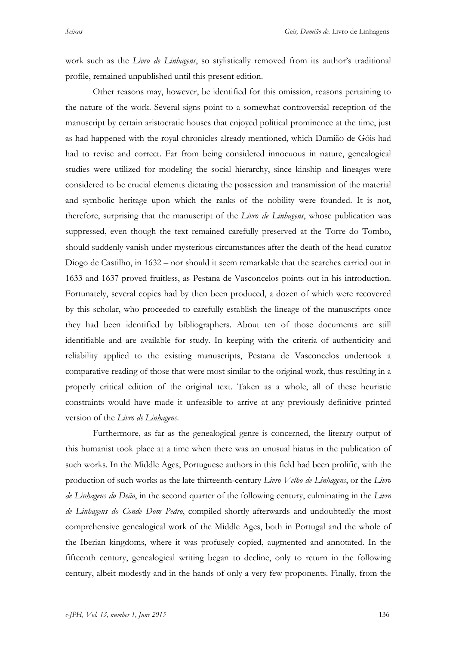work such as the *Livro de Linhagens*, so stylistically removed from its author's traditional profile, remained unpublished until this present edition.

Other reasons may, however, be identified for this omission, reasons pertaining to the nature of the work. Several signs point to a somewhat controversial reception of the manuscript by certain aristocratic houses that enjoyed political prominence at the time, just as had happened with the royal chronicles already mentioned, which Damião de Góis had had to revise and correct. Far from being considered innocuous in nature, genealogical studies were utilized for modeling the social hierarchy, since kinship and lineages were considered to be crucial elements dictating the possession and transmission of the material and symbolic heritage upon which the ranks of the nobility were founded. It is not, therefore, surprising that the manuscript of the *Livro de Linhagens*, whose publication was suppressed, even though the text remained carefully preserved at the Torre do Tombo, should suddenly vanish under mysterious circumstances after the death of the head curator Diogo de Castilho, in 1632 – nor should it seem remarkable that the searches carried out in 1633 and 1637 proved fruitless, as Pestana de Vasconcelos points out in his introduction. Fortunately, several copies had by then been produced, a dozen of which were recovered by this scholar, who proceeded to carefully establish the lineage of the manuscripts once they had been identified by bibliographers. About ten of those documents are still identifiable and are available for study. In keeping with the criteria of authenticity and reliability applied to the existing manuscripts, Pestana de Vasconcelos undertook a comparative reading of those that were most similar to the original work, thus resulting in a properly critical edition of the original text. Taken as a whole, all of these heuristic constraints would have made it unfeasible to arrive at any previously definitive printed version of the *Livro de Linhagens*.

Furthermore, as far as the genealogical genre is concerned, the literary output of this humanist took place at a time when there was an unusual hiatus in the publication of such works. In the Middle Ages, Portuguese authors in this field had been prolific, with the production of such works as the late thirteenth-century *Livro Velho de Linhagens*, or the *Livro de Linhagens do Deão*, in the second quarter of the following century, culminating in the *Livro de Linhagens do Conde Dom Pedro*, compiled shortly afterwards and undoubtedly the most comprehensive genealogical work of the Middle Ages, both in Portugal and the whole of the Iberian kingdoms, where it was profusely copied, augmented and annotated. In the fifteenth century, genealogical writing began to decline, only to return in the following century, albeit modestly and in the hands of only a very few proponents. Finally, from the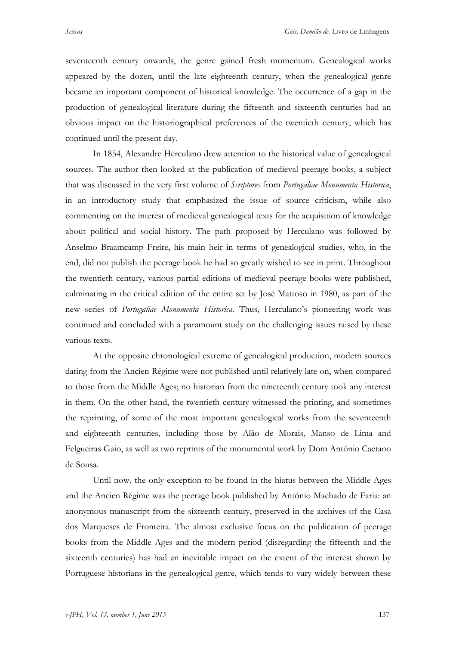seventeenth century onwards, the genre gained fresh momentum. Genealogical works appeared by the dozen, until the late eighteenth century, when the genealogical genre became an important component of historical knowledge. The occurrence of a gap in the production of genealogical literature during the fifteenth and sixteenth centuries had an obvious impact on the historiographical preferences of the twentieth century, which has continued until the present day.

In 1854, Alexandre Herculano drew attention to the historical value of genealogical sources. The author then looked at the publication of medieval peerage books, a subject that was discussed in the very first volume of *Scriptores* from *Portugaliae Monumenta Historica*, in an introductory study that emphasized the issue of source criticism, while also commenting on the interest of medieval genealogical texts for the acquisition of knowledge about political and social history. The path proposed by Herculano was followed by Anselmo Braamcamp Freire, his main heir in terms of genealogical studies, who, in the end, did not publish the peerage book he had so greatly wished to see in print. Throughout the twentieth century, various partial editions of medieval peerage books were published, culminating in the critical edition of the entire set by José Mattoso in 1980, as part of the new series of *Portugaliae Monumenta Historica*. Thus, Herculano's pioneering work was continued and concluded with a paramount study on the challenging issues raised by these various texts.

At the opposite chronological extreme of genealogical production, modern sources dating from the Ancien Régime were not published until relatively late on, when compared to those from the Middle Ages; no historian from the nineteenth century took any interest in them. On the other hand, the twentieth century witnessed the printing, and sometimes the reprinting, of some of the most important genealogical works from the seventeenth and eighteenth centuries, including those by Alão de Morais, Manso de Lima and Felgueiras Gaio, as well as two reprints of the monumental work by Dom António Caetano de Sousa.

Until now, the only exception to be found in the hiatus between the Middle Ages and the Ancien Régime was the peerage book published by António Machado de Faria: an anonymous manuscript from the sixteenth century, preserved in the archives of the Casa dos Marqueses de Fronteira. The almost exclusive focus on the publication of peerage books from the Middle Ages and the modern period (disregarding the fifteenth and the sixteenth centuries) has had an inevitable impact on the extent of the interest shown by Portuguese historians in the genealogical genre, which tends to vary widely between these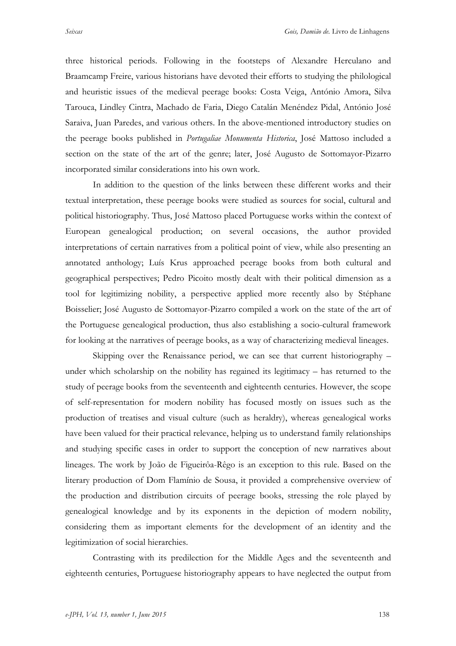three historical periods. Following in the footsteps of Alexandre Herculano and Braamcamp Freire, various historians have devoted their efforts to studying the philological and heuristic issues of the medieval peerage books: Costa Veiga, António Amora, Silva Tarouca, Lindley Cintra, Machado de Faria, Diego Catalán Menéndez Pidal, António José Saraiva, Juan Paredes, and various others. In the above-mentioned introductory studies on the peerage books published in *Portugaliae Monumenta Historica*, José Mattoso included a section on the state of the art of the genre; later, José Augusto de Sottomayor-Pizarro

incorporated similar considerations into his own work.

In addition to the question of the links between these different works and their textual interpretation, these peerage books were studied as sources for social, cultural and political historiography. Thus, José Mattoso placed Portuguese works within the context of European genealogical production; on several occasions, the author provided interpretations of certain narratives from a political point of view, while also presenting an annotated anthology; Luís Krus approached peerage books from both cultural and geographical perspectives; Pedro Picoito mostly dealt with their political dimension as a tool for legitimizing nobility, a perspective applied more recently also by Stéphane Boisselier; José Augusto de Sottomayor-Pizarro compiled a work on the state of the art of the Portuguese genealogical production, thus also establishing a socio-cultural framework for looking at the narratives of peerage books, as a way of characterizing medieval lineages.

Skipping over the Renaissance period, we can see that current historiography – under which scholarship on the nobility has regained its legitimacy – has returned to the study of peerage books from the seventeenth and eighteenth centuries. However, the scope of self-representation for modern nobility has focused mostly on issues such as the production of treatises and visual culture (such as heraldry), whereas genealogical works have been valued for their practical relevance, helping us to understand family relationships and studying specific cases in order to support the conception of new narratives about lineages. The work by João de Figueirôa-Rêgo is an exception to this rule. Based on the literary production of Dom Flamínio de Sousa, it provided a comprehensive overview of the production and distribution circuits of peerage books, stressing the role played by genealogical knowledge and by its exponents in the depiction of modern nobility, considering them as important elements for the development of an identity and the legitimization of social hierarchies.

Contrasting with its predilection for the Middle Ages and the seventeenth and eighteenth centuries, Portuguese historiography appears to have neglected the output from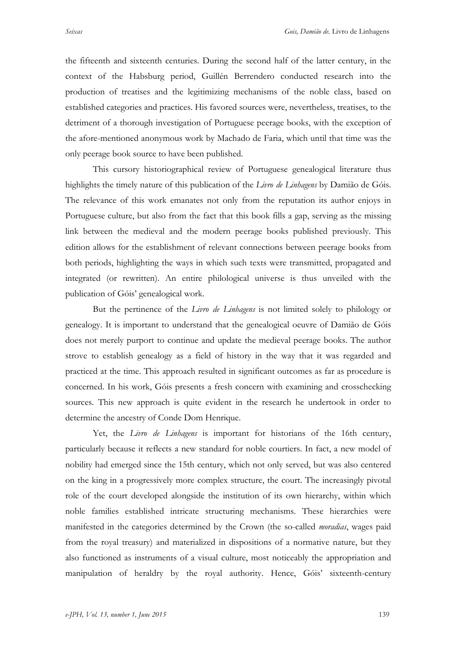the fifteenth and sixteenth centuries. During the second half of the latter century, in the context of the Habsburg period, Guillén Berrendero conducted research into the production of treatises and the legitimizing mechanisms of the noble class, based on established categories and practices. His favored sources were, nevertheless, treatises, to the detriment of a thorough investigation of Portuguese peerage books, with the exception of the afore-mentioned anonymous work by Machado de Faria, which until that time was the only peerage book source to have been published.

This cursory historiographical review of Portuguese genealogical literature thus highlights the timely nature of this publication of the *Livro de Linhagens* by Damião de Góis. The relevance of this work emanates not only from the reputation its author enjoys in Portuguese culture, but also from the fact that this book fills a gap, serving as the missing link between the medieval and the modern peerage books published previously. This edition allows for the establishment of relevant connections between peerage books from both periods, highlighting the ways in which such texts were transmitted, propagated and integrated (or rewritten). An entire philological universe is thus unveiled with the publication of Góis' genealogical work.

But the pertinence of the *Livro de Linhagens* is not limited solely to philology or genealogy. It is important to understand that the genealogical oeuvre of Damião de Góis does not merely purport to continue and update the medieval peerage books. The author strove to establish genealogy as a field of history in the way that it was regarded and practiced at the time. This approach resulted in significant outcomes as far as procedure is concerned. In his work, Góis presents a fresh concern with examining and crosschecking sources. This new approach is quite evident in the research he undertook in order to determine the ancestry of Conde Dom Henrique.

Yet, the *Livro de Linhagens* is important for historians of the 16th century, particularly because it reflects a new standard for noble courtiers. In fact, a new model of nobility had emerged since the 15th century, which not only served, but was also centered on the king in a progressively more complex structure, the court. The increasingly pivotal role of the court developed alongside the institution of its own hierarchy, within which noble families established intricate structuring mechanisms. These hierarchies were manifested in the categories determined by the Crown (the so-called *moradias*, wages paid from the royal treasury) and materialized in dispositions of a normative nature, but they also functioned as instruments of a visual culture, most noticeably the appropriation and manipulation of heraldry by the royal authority. Hence, Góis' sixteenth-century